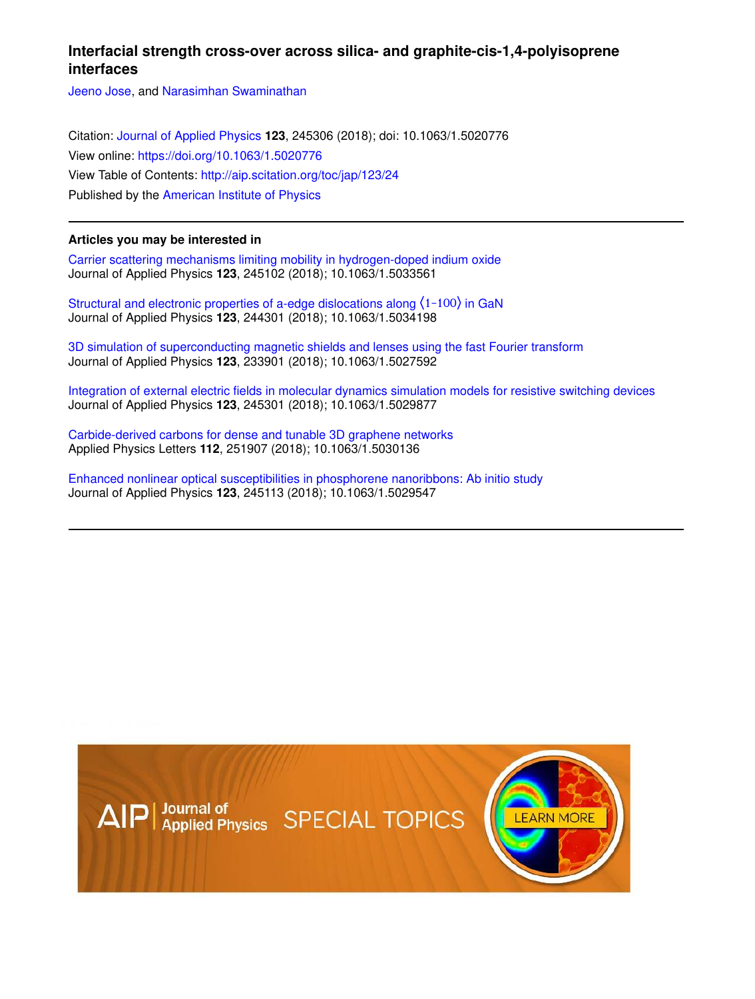# **Interfacial strength cross-over across silica- and graphite-cis-1,4-polyisoprene interfaces**

Jeeno Jose, and Narasimhan Swaminathan

Citation: Journal of Applied Physics **123**, 245306 (2018); doi: 10.1063/1.5020776 View online: https://doi.org/10.1063/1.5020776 View Table of Contents: http://aip.scitation.org/toc/jap/123/24 Published by the American Institute of Physics

# **Articles you may be interested in**

Carrier scattering mechanisms limiting mobility in hydrogen-doped indium oxide Journal of Applied Physics **123**, 245102 (2018); 10.1063/1.5033561

Structural and electronic properties of a-edge dislocations along ⟨1-100⟩ in GaN Journal of Applied Physics **123**, 244301 (2018); 10.1063/1.5034198

3D simulation of superconducting magnetic shields and lenses using the fast Fourier transform Journal of Applied Physics **123**, 233901 (2018); 10.1063/1.5027592

Integration of external electric fields in molecular dynamics simulation models for resistive switching devices Journal of Applied Physics **123**, 245301 (2018); 10.1063/1.5029877

Carbide-derived carbons for dense and tunable 3D graphene networks Applied Physics Letters **112**, 251907 (2018); 10.1063/1.5030136

Enhanced nonlinear optical susceptibilities in phosphorene nanoribbons: Ab initio study Journal of Applied Physics **123**, 245113 (2018); 10.1063/1.5029547

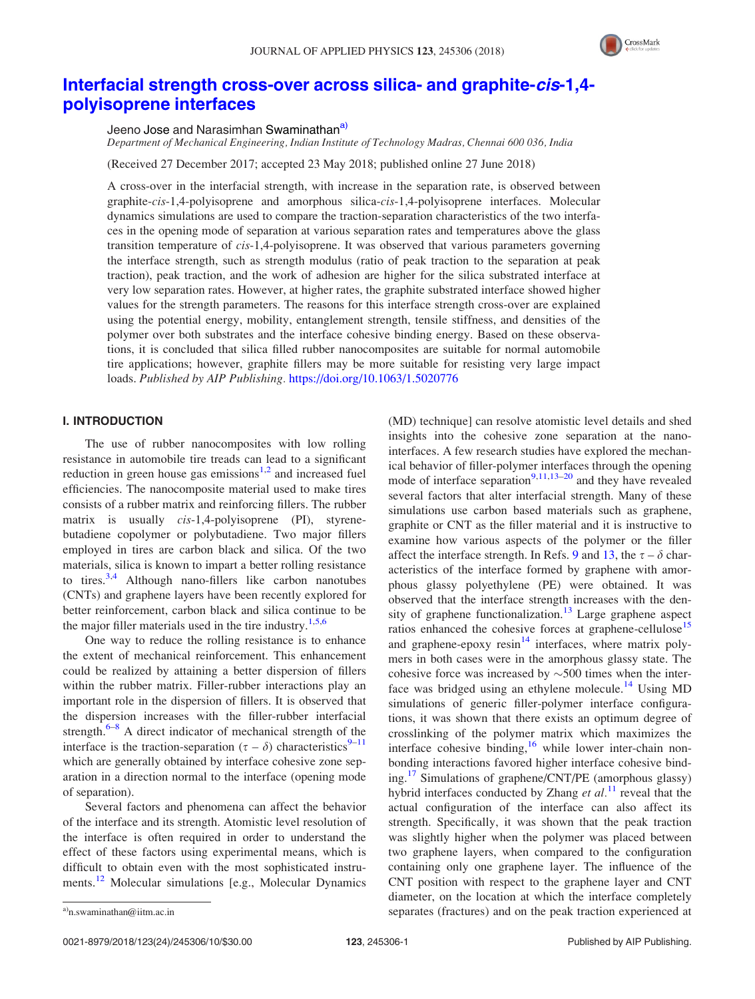

# Interfacial strength cross-over across silica- and graphite-cis-1,4 polyisoprene interfaces

Jeeno Jose and Narasimhan Swaminathan<sup>a)</sup>

Department of Mechanical Engineering, Indian Institute of Technology Madras, Chennai 600 036, India

(Received 27 December 2017; accepted 23 May 2018; published online 27 June 2018)

A cross-over in the interfacial strength, with increase in the separation rate, is observed between graphite-cis-1,4-polyisoprene and amorphous silica-cis-1,4-polyisoprene interfaces. Molecular dynamics simulations are used to compare the traction-separation characteristics of the two interfaces in the opening mode of separation at various separation rates and temperatures above the glass transition temperature of cis-1,4-polyisoprene. It was observed that various parameters governing the interface strength, such as strength modulus (ratio of peak traction to the separation at peak traction), peak traction, and the work of adhesion are higher for the silica substrated interface at very low separation rates. However, at higher rates, the graphite substrated interface showed higher values for the strength parameters. The reasons for this interface strength cross-over are explained using the potential energy, mobility, entanglement strength, tensile stiffness, and densities of the polymer over both substrates and the interface cohesive binding energy. Based on these observations, it is concluded that silica filled rubber nanocomposites are suitable for normal automobile tire applications; however, graphite fillers may be more suitable for resisting very large impact loads. Published by AIP Publishing. https://doi.org/10.1063/1.5020776

# I. INTRODUCTION

The use of rubber nanocomposites with low rolling resistance in automobile tire treads can lead to a significant reduction in green house gas emissions<sup>1,2</sup> and increased fuel efficiencies. The nanocomposite material used to make tires consists of a rubber matrix and reinforcing fillers. The rubber matrix is usually *cis*-1,4-polyisoprene (PI), styrenebutadiene copolymer or polybutadiene. Two major fillers employed in tires are carbon black and silica. Of the two materials, silica is known to impart a better rolling resistance to tires.<sup>3,4</sup> Although nano-fillers like carbon nanotubes (CNTs) and graphene layers have been recently explored for better reinforcement, carbon black and silica continue to be the major filler materials used in the tire industry.<sup>1,5,6</sup>

One way to reduce the rolling resistance is to enhance the extent of mechanical reinforcement. This enhancement could be realized by attaining a better dispersion of fillers within the rubber matrix. Filler-rubber interactions play an important role in the dispersion of fillers. It is observed that the dispersion increases with the filler-rubber interfacial strength. $6-8$  A direct indicator of mechanical strength of the interface is the traction-separation ( $\tau - \delta$ ) characteristics<sup>9–11</sup> which are generally obtained by interface cohesive zone separation in a direction normal to the interface (opening mode of separation).

Several factors and phenomena can affect the behavior of the interface and its strength. Atomistic level resolution of the interface is often required in order to understand the effect of these factors using experimental means, which is difficult to obtain even with the most sophisticated instruments.<sup>12</sup> Molecular simulations [e.g., Molecular Dynamics]

(MD) technique] can resolve atomistic level details and shed insights into the cohesive zone separation at the nanointerfaces. A few research studies have explored the mechanical behavior of filler-polymer interfaces through the opening mode of interface separation<sup>9,11,13–20</sup> and they have revealed several factors that alter interfacial strength. Many of these simulations use carbon based materials such as graphene, graphite or CNT as the filler material and it is instructive to examine how various aspects of the polymer or the filler affect the interface strength. In Refs. 9 and 13, the  $\tau - \delta$  characteristics of the interface formed by graphene with amorphous glassy polyethylene (PE) were obtained. It was observed that the interface strength increases with the density of graphene functionalization.<sup>13</sup> Large graphene aspect ratios enhanced the cohesive forces at graphene-cellulose<sup>15</sup> and graphene-epoxy  $resin<sup>14</sup>$  interfaces, where matrix polymers in both cases were in the amorphous glassy state. The cohesive force was increased by  $\sim$  500 times when the interface was bridged using an ethylene molecule.<sup>14</sup> Using MD simulations of generic filler-polymer interface configurations, it was shown that there exists an optimum degree of crosslinking of the polymer matrix which maximizes the interface cohesive binding, $16$  while lower inter-chain nonbonding interactions favored higher interface cohesive binding.<sup>17</sup> Simulations of graphene/CNT/PE (amorphous glassy) hybrid interfaces conducted by Zhang  $et al.<sup>11</sup>$  reveal that the actual configuration of the interface can also affect its strength. Specifically, it was shown that the peak traction was slightly higher when the polymer was placed between two graphene layers, when compared to the configuration containing only one graphene layer. The influence of the CNT position with respect to the graphene layer and CNT diameter, on the location at which the interface completely a)n.swaminathan@iitm.ac.in separates (fractures) and on the peak traction experienced at a)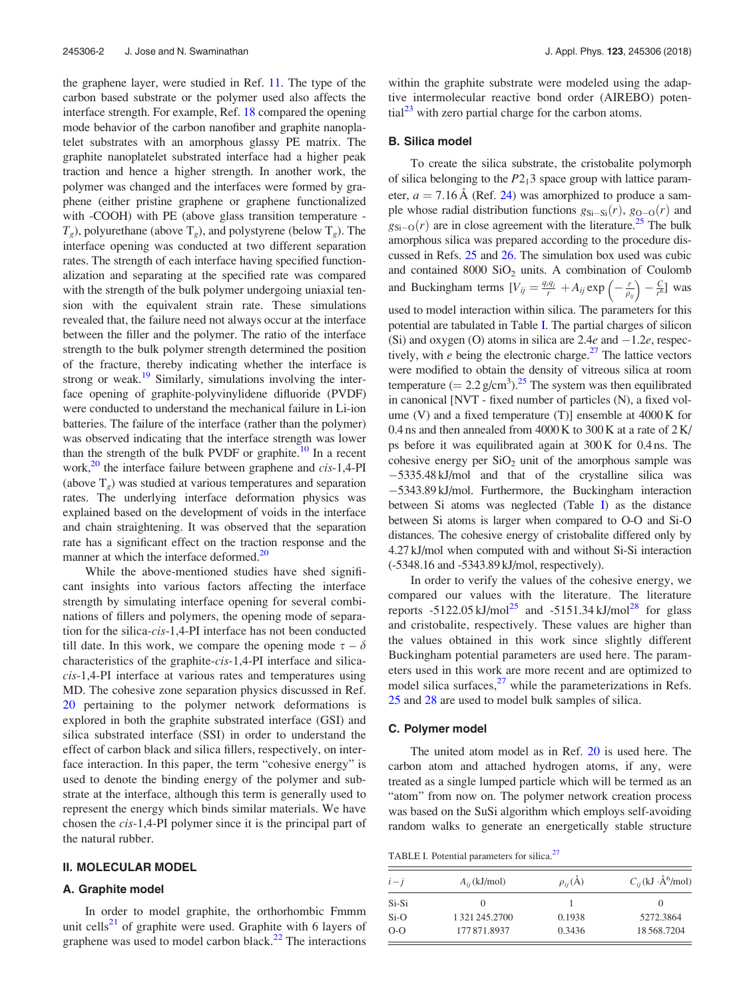the graphene layer, were studied in Ref. 11. The type of the carbon based substrate or the polymer used also affects the interface strength. For example, Ref. 18 compared the opening mode behavior of the carbon nanofiber and graphite nanoplatelet substrates with an amorphous glassy PE matrix. The graphite nanoplatelet substrated interface had a higher peak traction and hence a higher strength. In another work, the polymer was changed and the interfaces were formed by graphene (either pristine graphene or graphene functionalized with -COOH) with PE (above glass transition temperature -  $T<sub>g</sub>$ ), polyurethane (above  $T<sub>g</sub>$ ), and polystyrene (below  $T<sub>g</sub>$ ). The interface opening was conducted at two different separation rates. The strength of each interface having specified functionalization and separating at the specified rate was compared with the strength of the bulk polymer undergoing uniaxial tension with the equivalent strain rate. These simulations revealed that, the failure need not always occur at the interface between the filler and the polymer. The ratio of the interface strength to the bulk polymer strength determined the position of the fracture, thereby indicating whether the interface is strong or weak.<sup>19</sup> Similarly, simulations involving the interface opening of graphite-polyvinylidene difluoride (PVDF) were conducted to understand the mechanical failure in Li-ion batteries. The failure of the interface (rather than the polymer) was observed indicating that the interface strength was lower than the strength of the bulk PVDF or graphite.<sup>10</sup> In a recent work, $^{20}$  the interface failure between graphene and cis-1,4-PI (above  $T<sub>g</sub>$ ) was studied at various temperatures and separation rates. The underlying interface deformation physics was explained based on the development of voids in the interface and chain straightening. It was observed that the separation rate has a significant effect on the traction response and the manner at which the interface deformed.<sup>20</sup>

While the above-mentioned studies have shed significant insights into various factors affecting the interface strength by simulating interface opening for several combinations of fillers and polymers, the opening mode of separation for the silica-cis-1,4-PI interface has not been conducted till date. In this work, we compare the opening mode  $\tau - \delta$ characteristics of the graphite-cis-1,4-PI interface and silicacis-1,4-PI interface at various rates and temperatures using MD. The cohesive zone separation physics discussed in Ref. 20 pertaining to the polymer network deformations is explored in both the graphite substrated interface (GSI) and silica substrated interface (SSI) in order to understand the effect of carbon black and silica fillers, respectively, on interface interaction. In this paper, the term "cohesive energy" is used to denote the binding energy of the polymer and substrate at the interface, although this term is generally used to represent the energy which binds similar materials. We have chosen the cis-1,4-PI polymer since it is the principal part of the natural rubber.

#### II. MOLECULAR MODEL

#### A. Graphite model

In order to model graphite, the orthorhombic Fmmm unit cells<sup>21</sup> of graphite were used. Graphite with 6 layers of graphene was used to model carbon black. $^{22}$  The interactions within the graphite substrate were modeled using the adaptive intermolecular reactive bond order (AIREBO) poten- $\text{tail}^{23}$  with zero partial charge for the carbon atoms.

#### B. Silica model

To create the silica substrate, the cristobalite polymorph of silica belonging to the  $P2<sub>1</sub>3$  space group with lattice parameter,  $a = 7.16 \text{ Å}$  (Ref. 24) was amorphized to produce a sample whose radial distribution functions  $g_{Si-Si}(r)$ ,  $g_{O-O}(r)$  and  $g_{\text{Si}-\text{O}}(r)$  are in close agreement with the literature.<sup>25</sup> The bulk amorphous silica was prepared according to the procedure discussed in Refs. 25 and 26. The simulation box used was cubic and contained  $8000$  SiO<sub>2</sub> units. A combination of Coulomb and Buckingham terms  $[V_{ij} = \frac{q_i q_j}{r} + A_{ij} \exp\left(-\frac{r}{\rho_{ij}}\right) - \frac{C}{r^6}]$  was used to model interaction within silica. The parameters for this potential are tabulated in Table I. The partial charges of silicon (Si) and oxygen (O) atoms in silica are  $2.4e$  and  $-1.2e$ , respectively, with  $e$  being the electronic charge.<sup>27</sup> The lattice vectors were modified to obtain the density of vitreous silica at room temperature  $(= 2.2 \text{ g/cm}^3)$ .<sup>25</sup> The system was then equilibrated in canonical [NVT - fixed number of particles (N), a fixed volume (V) and a fixed temperature (T)] ensemble at 4000 K for 0.4 ns and then annealed from  $4000 \text{ K}$  to  $300 \text{ K}$  at a rate of  $2 \text{ K}$ / ps before it was equilibrated again at 300 K for 0.4 ns. The cohesive energy per  $SiO<sub>2</sub>$  unit of the amorphous sample was 5335.48 kJ/mol and that of the crystalline silica was 5343.89 kJ/mol. Furthermore, the Buckingham interaction between Si atoms was neglected (Table I) as the distance between Si atoms is larger when compared to O-O and Si-O distances. The cohesive energy of cristobalite differed only by 4.27 kJ/mol when computed with and without Si-Si interaction (-5348.16 and -5343.89 kJ/mol, respectively).

In order to verify the values of the cohesive energy, we compared our values with the literature. The literature reports  $-5122.05 \text{ kJ/mol}^{25}$  and  $-5151.34 \text{ kJ/mol}^{28}$  for glass and cristobalite, respectively. These values are higher than the values obtained in this work since slightly different Buckingham potential parameters are used here. The parameters used in this work are more recent and are optimized to model silica surfaces, $^{27}$  while the parameterizations in Refs. 25 and 28 are used to model bulk samples of silica.

#### C. Polymer model

The united atom model as in Ref. 20 is used here. The carbon atom and attached hydrogen atoms, if any, were treated as a single lumped particle which will be termed as an "atom" from now on. The polymer network creation process was based on the SuSi algorithm which employs self-avoiding random walks to generate an energetically stable structure

TABLE I. Potential parameters for silica.<sup>27</sup>

| $i - j$ | $A_{ii}$ (kJ/mol) | $\rho_{ii}(\dot{A})$ | $C_{ij}$ (kJ ·Å <sup>6</sup> /mol) |
|---------|-------------------|----------------------|------------------------------------|
| Si-Si   |                   |                      |                                    |
| $Si-O$  | 1 321 245.2700    | 0.1938               | 5272.3864                          |
| $O-O$   | 177871.8937       | 0.3436               | 18568.7204                         |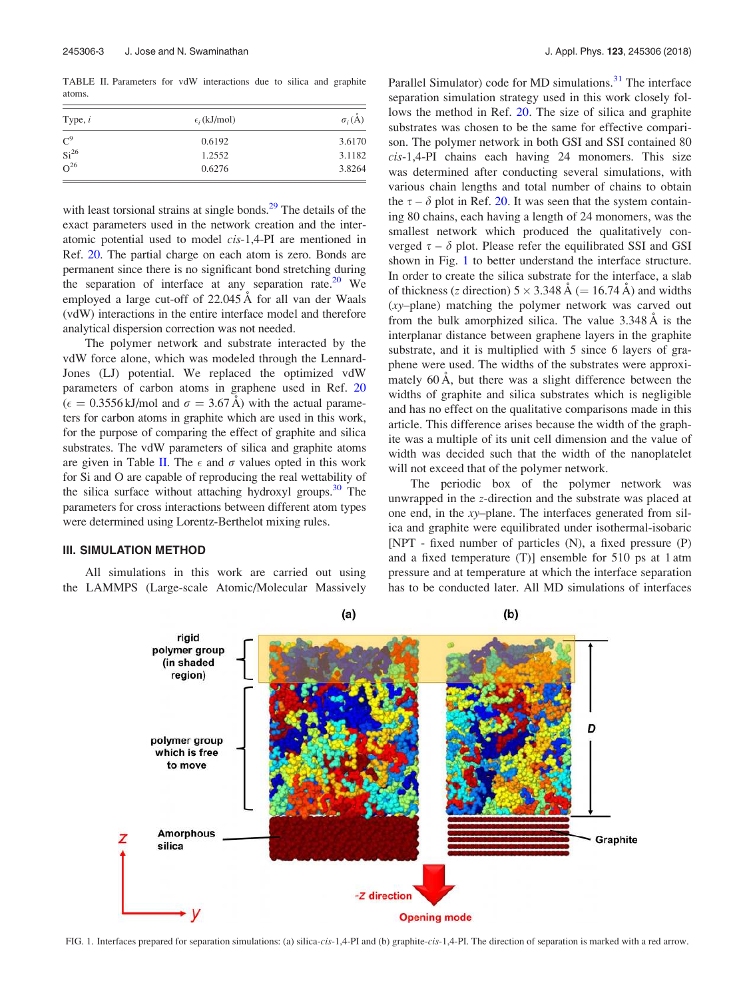TABLE II. Parameters for vdW interactions due to silica and graphite atoms.

| Type, $i$        | $\epsilon_i$ (kJ/mol) | $\sigma_i(\dot{A})$ |  |
|------------------|-----------------------|---------------------|--|
| C <sup>9</sup>   | 0.6192                | 3.6170              |  |
| Si <sup>26</sup> | 1.2552                | 3.1182              |  |
| $\Omega^{26}$    | 0.6276                | 3.8264              |  |

with least torsional strains at single bonds.<sup>29</sup> The details of the exact parameters used in the network creation and the interatomic potential used to model cis-1,4-PI are mentioned in Ref. 20. The partial charge on each atom is zero. Bonds are permanent since there is no significant bond stretching during the separation of interface at any separation rate.<sup>20</sup> We employed a large cut-off of 22.045 Å for all van der Waals (vdW) interactions in the entire interface model and therefore analytical dispersion correction was not needed.

The polymer network and substrate interacted by the vdW force alone, which was modeled through the Lennard-Jones (LJ) potential. We replaced the optimized vdW parameters of carbon atoms in graphene used in Ref. 20  $\hat{\mathcal{H}}(\epsilon = 0.3556 \text{ kJ/mol}$  and  $\sigma = 3.67 \text{ Å})$  with the actual parameters for carbon atoms in graphite which are used in this work, for the purpose of comparing the effect of graphite and silica substrates. The vdW parameters of silica and graphite atoms are given in Table II. The  $\epsilon$  and  $\sigma$  values opted in this work for Si and O are capable of reproducing the real wettability of the silica surface without attaching hydroxyl groups. $30$  The parameters for cross interactions between different atom types were determined using Lorentz-Berthelot mixing rules.

## III. SIMULATION METHOD

All simulations in this work are carried out using the LAMMPS (Large-scale Atomic/Molecular Massively Parallel Simulator) code for MD simulations.<sup>31</sup> The interface separation simulation strategy used in this work closely follows the method in Ref. 20. The size of silica and graphite substrates was chosen to be the same for effective comparison. The polymer network in both GSI and SSI contained 80 cis-1,4-PI chains each having 24 monomers. This size was determined after conducting several simulations, with various chain lengths and total number of chains to obtain the  $\tau - \delta$  plot in Ref. 20. It was seen that the system containing 80 chains, each having a length of 24 monomers, was the smallest network which produced the qualitatively converged  $\tau - \delta$  plot. Please refer the equilibrated SSI and GSI shown in Fig. 1 to better understand the interface structure. In order to create the silica substrate for the interface, a slab of thickness (z direction)  $5 \times 3.348 \text{ Å}$  (= 16.74 Å) and widths (xy–plane) matching the polymer network was carved out from the bulk amorphized silica. The value  $3.348 \text{ Å}$  is the interplanar distance between graphene layers in the graphite substrate, and it is multiplied with 5 since 6 layers of graphene were used. The widths of the substrates were approximately  $60 \text{ Å}$ , but there was a slight difference between the widths of graphite and silica substrates which is negligible and has no effect on the qualitative comparisons made in this article. This difference arises because the width of the graphite was a multiple of its unit cell dimension and the value of width was decided such that the width of the nanoplatelet will not exceed that of the polymer network.

The periodic box of the polymer network was unwrapped in the z-direction and the substrate was placed at one end, in the xy–plane. The interfaces generated from silica and graphite were equilibrated under isothermal-isobaric [NPT - fixed number of particles (N), a fixed pressure (P) and a fixed temperature (T)] ensemble for 510 ps at 1 atm pressure and at temperature at which the interface separation has to be conducted later. All MD simulations of interfaces



FIG. 1. Interfaces prepared for separation simulations: (a) silica-cis-1,4-PI and (b) graphite-cis-1,4-PI. The direction of separation is marked with a red arrow.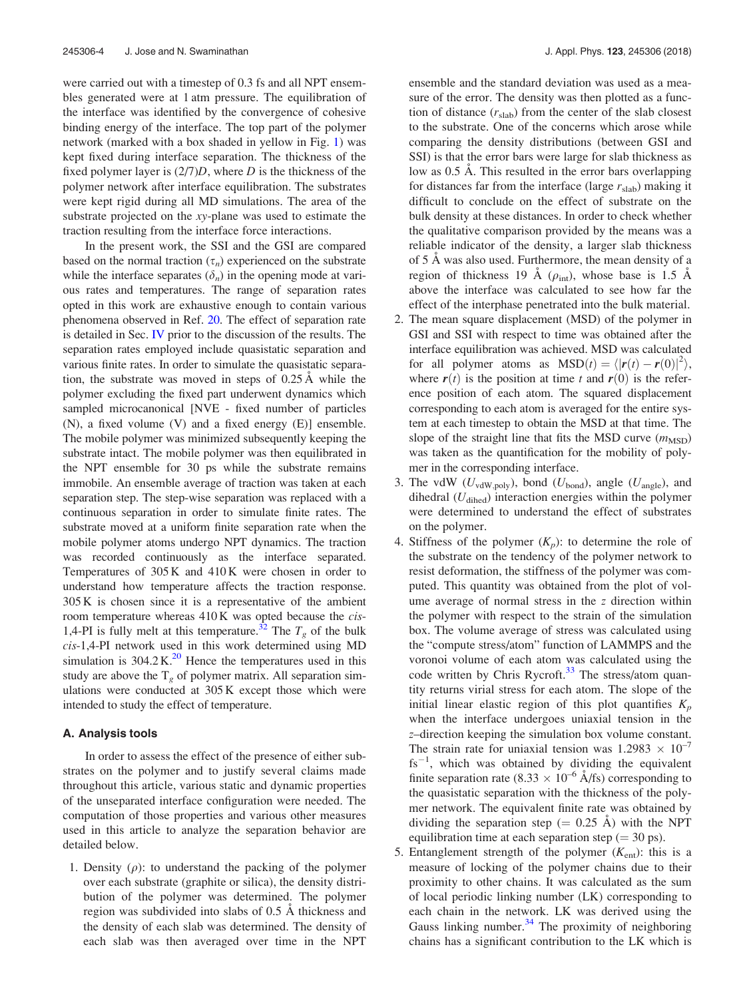were carried out with a timestep of 0.3 fs and all NPT ensembles generated were at 1 atm pressure. The equilibration of the interface was identified by the convergence of cohesive binding energy of the interface. The top part of the polymer network (marked with a box shaded in yellow in Fig. 1) was kept fixed during interface separation. The thickness of the fixed polymer layer is  $(2/7)D$ , where D is the thickness of the polymer network after interface equilibration. The substrates were kept rigid during all MD simulations. The area of the substrate projected on the xy-plane was used to estimate the traction resulting from the interface force interactions.

In the present work, the SSI and the GSI are compared based on the normal traction  $(\tau_n)$  experienced on the substrate while the interface separates  $(\delta_n)$  in the opening mode at various rates and temperatures. The range of separation rates opted in this work are exhaustive enough to contain various phenomena observed in Ref. 20. The effect of separation rate is detailed in Sec. IV prior to the discussion of the results. The separation rates employed include quasistatic separation and various finite rates. In order to simulate the quasistatic separation, the substrate was moved in steps of  $0.25 \text{ Å}$  while the polymer excluding the fixed part underwent dynamics which sampled microcanonical [NVE - fixed number of particles (N), a fixed volume (V) and a fixed energy (E)] ensemble. The mobile polymer was minimized subsequently keeping the substrate intact. The mobile polymer was then equilibrated in the NPT ensemble for 30 ps while the substrate remains immobile. An ensemble average of traction was taken at each separation step. The step-wise separation was replaced with a continuous separation in order to simulate finite rates. The substrate moved at a uniform finite separation rate when the mobile polymer atoms undergo NPT dynamics. The traction was recorded continuously as the interface separated. Temperatures of 305 K and 410 K were chosen in order to understand how temperature affects the traction response. 305 K is chosen since it is a representative of the ambient room temperature whereas 410K was opted because the cis-1,4-PI is fully melt at this temperature.<sup>32</sup> The  $T_g$  of the bulk cis-1,4-PI network used in this work determined using MD simulation is  $304.2 \text{ K}^{20}$  Hence the temperatures used in this study are above the  $T_{g}$  of polymer matrix. All separation simulations were conducted at 305 K except those which were intended to study the effect of temperature.

## A. Analysis tools

In order to assess the effect of the presence of either substrates on the polymer and to justify several claims made throughout this article, various static and dynamic properties of the unseparated interface configuration were needed. The computation of those properties and various other measures used in this article to analyze the separation behavior are detailed below.

1. Density  $(\rho)$ : to understand the packing of the polymer over each substrate (graphite or silica), the density distribution of the polymer was determined. The polymer region was subdivided into slabs of 0.5 Å thickness and the density of each slab was determined. The density of each slab was then averaged over time in the NPT ensemble and the standard deviation was used as a measure of the error. The density was then plotted as a function of distance  $(r_{\text{slab}})$  from the center of the slab closest to the substrate. One of the concerns which arose while comparing the density distributions (between GSI and SSI) is that the error bars were large for slab thickness as low as 0.5 Å. This resulted in the error bars overlapping for distances far from the interface (large  $r_{\text{slab}}$ ) making it difficult to conclude on the effect of substrate on the bulk density at these distances. In order to check whether the qualitative comparison provided by the means was a reliable indicator of the density, a larger slab thickness of 5 Å was also used. Furthermore, the mean density of a region of thickness 19  $\AA$  ( $\rho_{int}$ ), whose base is 1.5  $\AA$ above the interface was calculated to see how far the effect of the interphase penetrated into the bulk material.

- 2. The mean square displacement (MSD) of the polymer in GSI and SSI with respect to time was obtained after the interface equilibration was achieved. MSD was calculated for all polymer atoms as  $\text{MSD}(t) = \langle |\mathbf{r}(t) - \mathbf{r}(0)|^2 \rangle$ , where  $r(t)$  is the position at time t and  $r(0)$  is the reference position of each atom. The squared displacement corresponding to each atom is averaged for the entire system at each timestep to obtain the MSD at that time. The slope of the straight line that fits the MSD curve  $(m_{\rm MSD})$ was taken as the quantification for the mobility of polymer in the corresponding interface.
- 3. The vdW ( $U_{\text{vdW,poly}}$ ), bond ( $U_{\text{bond}}$ ), angle ( $U_{\text{angle}}$ ), and dihedral  $(U_{\text{dihed}})$  interaction energies within the polymer were determined to understand the effect of substrates on the polymer.
- 4. Stiffness of the polymer  $(K_p)$ : to determine the role of the substrate on the tendency of the polymer network to resist deformation, the stiffness of the polymer was computed. This quantity was obtained from the plot of volume average of normal stress in the z direction within the polymer with respect to the strain of the simulation box. The volume average of stress was calculated using the "compute stress/atom" function of LAMMPS and the voronoi volume of each atom was calculated using the code written by Chris Rycroft. $33$  The stress/atom quantity returns virial stress for each atom. The slope of the initial linear elastic region of this plot quantifies  $K_p$ when the interface undergoes uniaxial tension in the z–direction keeping the simulation box volume constant. The strain rate for uniaxial tension was  $1.2983 \times 10^{-7}$  $fs^{-1}$ , which was obtained by dividing the equivalent finite separation rate (8.33  $\times$  10<sup>-6</sup> Å/fs) corresponding to the quasistatic separation with the thickness of the polymer network. The equivalent finite rate was obtained by dividing the separation step  $(= 0.25 \text{ Å})$  with the NPT equilibration time at each separation step ( $= 30$  ps).
- 5. Entanglement strength of the polymer  $(K_{ent})$ : this is a measure of locking of the polymer chains due to their proximity to other chains. It was calculated as the sum of local periodic linking number (LK) corresponding to each chain in the network. LK was derived using the Gauss linking number. $34$  The proximity of neighboring chains has a significant contribution to the LK which is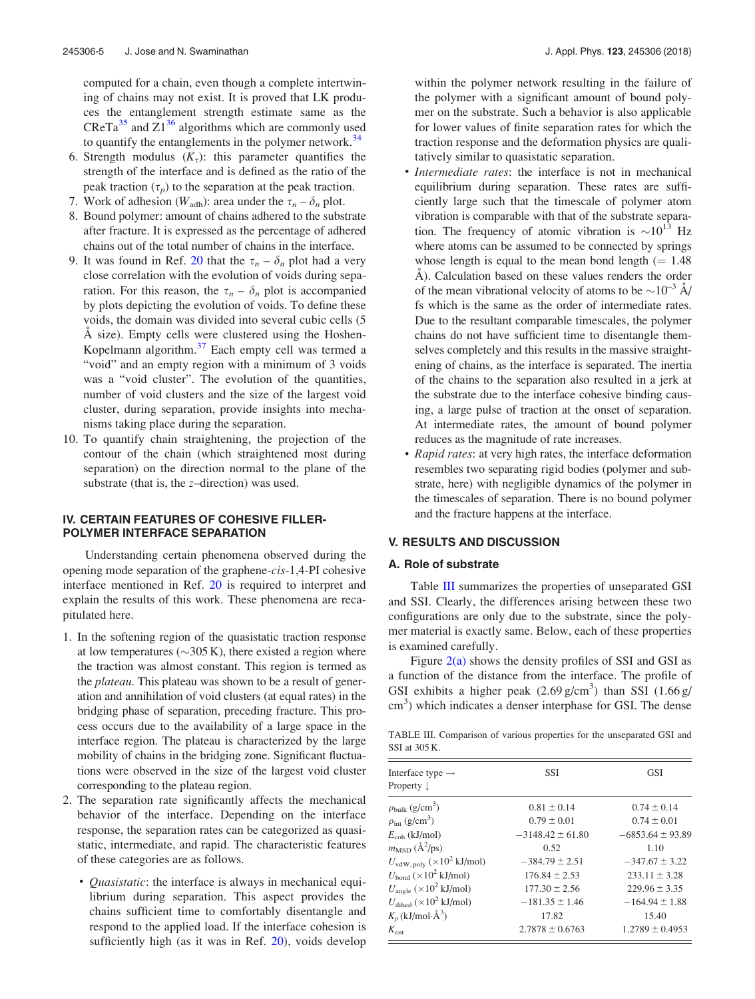computed for a chain, even though a complete intertwining of chains may not exist. It is proved that LK produces the entanglement strength estimate same as the CReTa<sup>35</sup> and  $Z1^{36}$  algorithms which are commonly used to quantify the entanglements in the polymer network. $34$ 

- 6. Strength modulus  $(K_{\tau})$ : this parameter quantifies the strength of the interface and is defined as the ratio of the peak traction  $(\tau_n)$  to the separation at the peak traction.
- 7. Work of adhesion ( $W_{\text{adh}}$ ): area under the  $\tau_n \delta_n$  plot.
- 8. Bound polymer: amount of chains adhered to the substrate after fracture. It is expressed as the percentage of adhered chains out of the total number of chains in the interface.
- 9. It was found in Ref. 20 that the  $\tau_n \delta_n$  plot had a very close correlation with the evolution of voids during separation. For this reason, the  $\tau_n - \delta_n$  plot is accompanied by plots depicting the evolution of voids. To define these voids, the domain was divided into several cubic cells (5  $\AA$  size). Empty cells were clustered using the Hoshen-Kopelmann algorithm.<sup>37</sup> Each empty cell was termed a "void" and an empty region with a minimum of 3 voids was a "void cluster". The evolution of the quantities, number of void clusters and the size of the largest void cluster, during separation, provide insights into mechanisms taking place during the separation.
- 10. To quantify chain straightening, the projection of the contour of the chain (which straightened most during separation) on the direction normal to the plane of the substrate (that is, the z–direction) was used.

## IV. CERTAIN FEATURES OF COHESIVE FILLER-POLYMER INTERFACE SEPARATION

Understanding certain phenomena observed during the opening mode separation of the graphene-cis-1,4-PI cohesive interface mentioned in Ref. 20 is required to interpret and explain the results of this work. These phenomena are recapitulated here.

- 1. In the softening region of the quasistatic traction response at low temperatures ( $\sim$ 305 K), there existed a region where the traction was almost constant. This region is termed as the plateau. This plateau was shown to be a result of generation and annihilation of void clusters (at equal rates) in the bridging phase of separation, preceding fracture. This process occurs due to the availability of a large space in the interface region. The plateau is characterized by the large mobility of chains in the bridging zone. Significant fluctuations were observed in the size of the largest void cluster corresponding to the plateau region.
- 2. The separation rate significantly affects the mechanical behavior of the interface. Depending on the interface response, the separation rates can be categorized as quasistatic, intermediate, and rapid. The characteristic features of these categories are as follows.
	- *Quasistatic*: the interface is always in mechanical equilibrium during separation. This aspect provides the chains sufficient time to comfortably disentangle and respond to the applied load. If the interface cohesion is sufficiently high (as it was in Ref. 20), voids develop

within the polymer network resulting in the failure of the polymer with a significant amount of bound polymer on the substrate. Such a behavior is also applicable for lower values of finite separation rates for which the traction response and the deformation physics are qualitatively similar to quasistatic separation.

- Intermediate rates: the interface is not in mechanical equilibrium during separation. These rates are sufficiently large such that the timescale of polymer atom vibration is comparable with that of the substrate separation. The frequency of atomic vibration is  $\sim 10^{13}$  Hz where atoms can be assumed to be connected by springs whose length is equal to the mean bond length  $(= 1.48)$ Å). Calculation based on these values renders the order of the mean vibrational velocity of atoms to be  $\sim 10^{-3}$  Å/ fs which is the same as the order of intermediate rates. Due to the resultant comparable timescales, the polymer chains do not have sufficient time to disentangle themselves completely and this results in the massive straightening of chains, as the interface is separated. The inertia of the chains to the separation also resulted in a jerk at the substrate due to the interface cohesive binding causing, a large pulse of traction at the onset of separation. At intermediate rates, the amount of bound polymer reduces as the magnitude of rate increases.
- Rapid rates: at very high rates, the interface deformation resembles two separating rigid bodies (polymer and substrate, here) with negligible dynamics of the polymer in the timescales of separation. There is no bound polymer and the fracture happens at the interface.

#### V. RESULTS AND DISCUSSION

## A. Role of substrate

Table III summarizes the properties of unseparated GSI and SSI. Clearly, the differences arising between these two configurations are only due to the substrate, since the polymer material is exactly same. Below, each of these properties is examined carefully.

Figure  $2(a)$  shows the density profiles of SSI and GSI as a function of the distance from the interface. The profile of GSI exhibits a higher peak  $(2.69 \text{ g/cm}^3)$  than SSI  $(1.66 \text{ g/m})$ cm<sup>3</sup>) which indicates a denser interphase for GSI. The dense

TABLE III. Comparison of various properties for the unseparated GSI and SSI at 305 K.

| Interface type $\rightarrow$<br>Property $\downarrow$ | <b>SSI</b>           | <b>GSI</b>           |
|-------------------------------------------------------|----------------------|----------------------|
| $\rho_{\text{bulk}}$ (g/cm <sup>3</sup> )             | $0.81 \pm 0.14$      | $0.74 \pm 0.14$      |
| $\rho_{\rm int}$ (g/cm <sup>3</sup> )                 | $0.79 \pm 0.01$      | $0.74 \pm 0.01$      |
| $E_{\rm coh}$ (kJ/mol)                                | $-3148.42 \pm 61.80$ | $-6853.64 \pm 93.89$ |
| $m_{\rm MSD} (\AA^2/\text{ps})$                       | 0.52                 | 1.10                 |
| $U_{\text{vdW, poly}}$ ( $\times 10^2$ kJ/mol)        | $-384.79 \pm 2.51$   | $-347.67 \pm 3.22$   |
| $U_{\rm bond}$ ( $\times 10^2$ kJ/mol)                | $176.84 \pm 2.53$    | $233.11 \pm 3.28$    |
| $U_{\text{angle}} (\times 10^2 \text{ kJ/mol})$       | $177.30 \pm 2.56$    | $229.96 \pm 3.35$    |
| $U_{\text{dihed}} (\times 10^2 \text{ kJ/mol})$       | $-181.35 \pm 1.46$   | $-164.94 \pm 1.88$   |
| $K_p$ (kJ/mol· $\AA^3$ )                              | 17.82                | 15.40                |
| $K_{\rm ent}$                                         | $2.7878 \pm 0.6763$  | $1.2789 \pm 0.4953$  |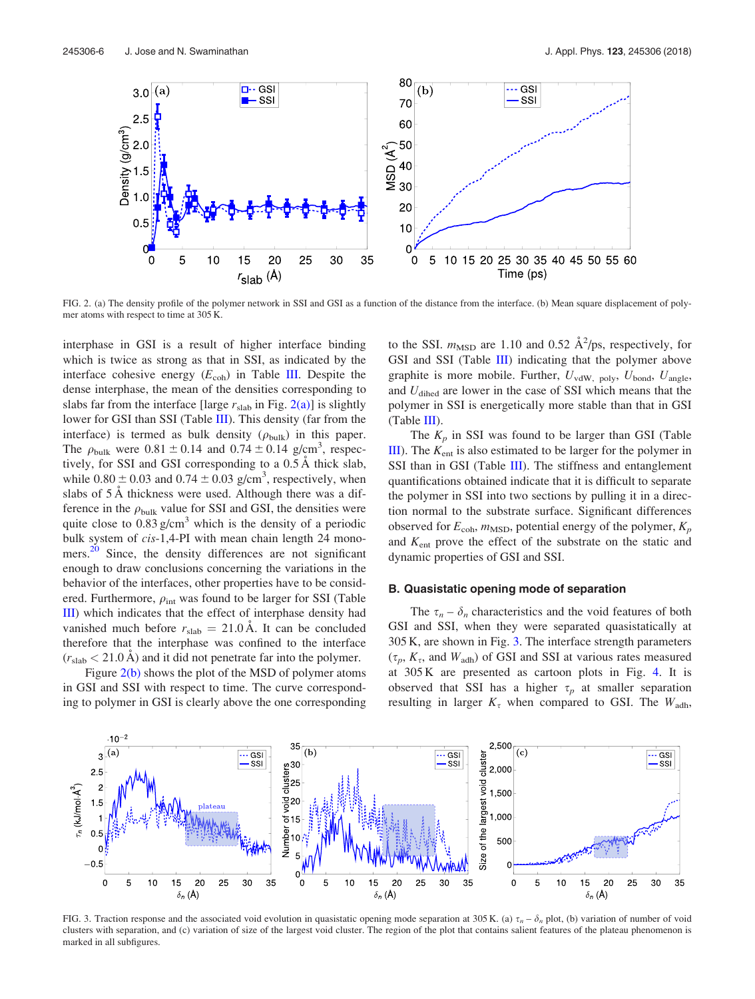

FIG. 2. (a) The density profile of the polymer network in SSI and GSI as a function of the distance from the interface. (b) Mean square displacement of polymer atoms with respect to time at 305 K.

interphase in GSI is a result of higher interface binding which is twice as strong as that in SSI, as indicated by the interface cohesive energy  $(E_{coh})$  in Table III. Despite the dense interphase, the mean of the densities corresponding to slabs far from the interface [large  $r_{\text{slab}}$  in Fig. 2(a)] is slightly lower for GSI than SSI (Table III). This density (far from the interface) is termed as bulk density  $(\rho_{\text{bulk}})$  in this paper. The  $\rho_{\text{bulk}}$  were  $0.81 \pm 0.14$  and  $0.74 \pm 0.14$  g/cm<sup>3</sup>, respectively, for SSI and GSI corresponding to a  $0.5 \text{ Å}$  thick slab, while  $0.80 \pm 0.03$  and  $0.74 \pm 0.03$  g/cm<sup>3</sup>, respectively, when slabs of 5 Å thickness were used. Although there was a difference in the  $\rho_{\text{bulk}}$  value for SSI and GSI, the densities were quite close to  $0.83$  g/cm<sup>3</sup> which is the density of a periodic bulk system of cis-1,4-PI with mean chain length 24 monomers.<sup>20</sup> Since, the density differences are not significant enough to draw conclusions concerning the variations in the behavior of the interfaces, other properties have to be considered. Furthermore,  $\rho_{\text{int}}$  was found to be larger for SSI (Table III) which indicates that the effect of interphase density had vanished much before  $r_{\text{slab}} = 21.0 \text{ Å}$ . It can be concluded therefore that the interphase was confined to the interface  $(r_{\text{slab}} < 21.0 \text{ Å})$  and it did not penetrate far into the polymer.

Figure 2(b) shows the plot of the MSD of polymer atoms in GSI and SSI with respect to time. The curve corresponding to polymer in GSI is clearly above the one corresponding

to the SSI.  $m_{\text{MSD}}$  are 1.10 and 0.52  $\text{Å}^2/\text{ps}$ , respectively, for GSI and SSI (Table III) indicating that the polymer above graphite is more mobile. Further,  $U_{\text{vdW, poly}}$ ,  $U_{\text{bond}}$ ,  $U_{\text{angle}}$ , and  $U_{\text{dihed}}$  are lower in the case of SSI which means that the polymer in SSI is energetically more stable than that in GSI (Table III).

The  $K_p$  in SSI was found to be larger than GSI (Table III). The  $K_{ent}$  is also estimated to be larger for the polymer in SSI than in GSI (Table III). The stiffness and entanglement quantifications obtained indicate that it is difficult to separate the polymer in SSI into two sections by pulling it in a direction normal to the substrate surface. Significant differences observed for  $E_{coh}$ ,  $m_{\text{MSD}}$ , potential energy of the polymer,  $K_p$ and  $K_{ent}$  prove the effect of the substrate on the static and dynamic properties of GSI and SSI.

#### B. Quasistatic opening mode of separation

The  $\tau_n - \delta_n$  characteristics and the void features of both GSI and SSI, when they were separated quasistatically at 305 K, are shown in Fig. 3. The interface strength parameters  $(\tau_p, K_\tau, \text{ and } W_{\text{adh}})$  of GSI and SSI at various rates measured at 305 K are presented as cartoon plots in Fig. 4. It is observed that SSI has a higher  $\tau_p$  at smaller separation resulting in larger  $K_{\tau}$  when compared to GSI. The  $W_{\text{adh}}$ ,



FIG. 3. Traction response and the associated void evolution in quasistatic opening mode separation at 305 K. (a)  $\tau_n - \delta_n$  plot, (b) variation of number of void clusters with separation, and (c) variation of size of the largest void cluster. The region of the plot that contains salient features of the plateau phenomenon is marked in all subfigures.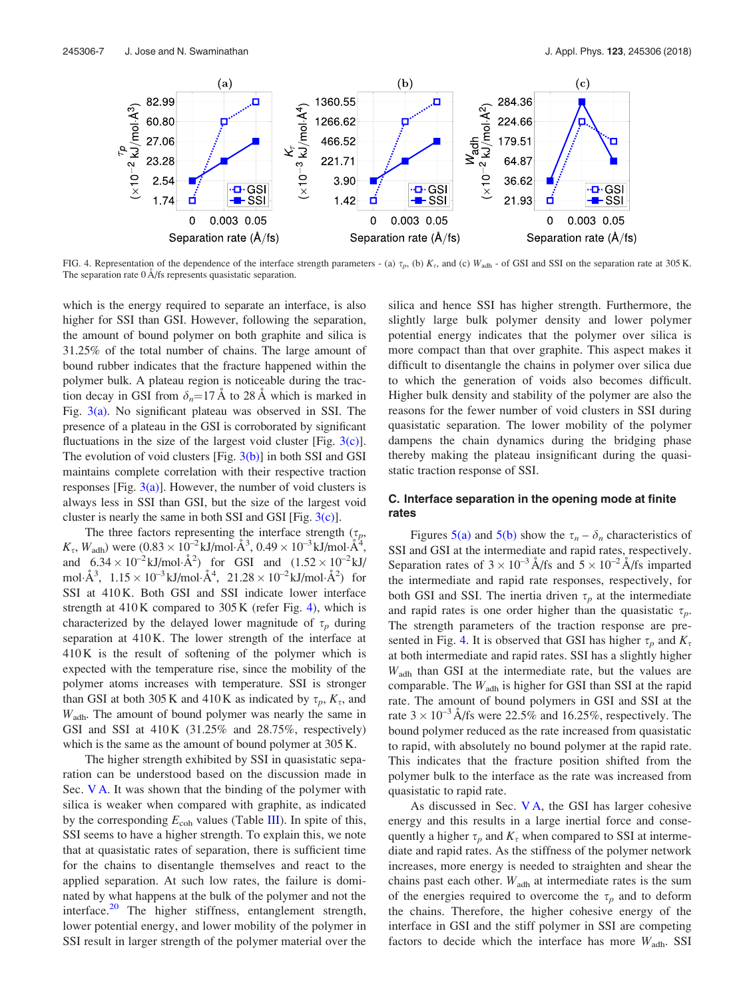

FIG. 4. Representation of the dependence of the interface strength parameters - (a)  $\tau_p$ , (b)  $K_z$ , and (c)  $W_{\text{adh}}$  - of GSI and SSI on the separation rate at 305 K. The separation rate 0 Å/fs represents quasistatic separation.

which is the energy required to separate an interface, is also higher for SSI than GSI. However, following the separation, the amount of bound polymer on both graphite and silica is 31.25% of the total number of chains. The large amount of bound rubber indicates that the fracture happened within the polymer bulk. A plateau region is noticeable during the traction decay in GSI from  $\delta_n=17 \text{ Å}$  to 28 Å which is marked in Fig. 3(a). No significant plateau was observed in SSI. The presence of a plateau in the GSI is corroborated by significant fluctuations in the size of the largest void cluster [Fig.  $3(c)$ ]. The evolution of void clusters  $[Fig. 3(b)]$  in both SSI and GSI maintains complete correlation with their respective traction responses [Fig.  $3(a)$ ]. However, the number of void clusters is always less in SSI than GSI, but the size of the largest void cluster is nearly the same in both SSI and GSI [Fig.  $3(c)$ ].

The three factors representing the interface strength  $(\tau_p,$  $K_{\tau}$ ,  $W_{\text{adh}}$ ) were  $(0.83 \times 10^{-2} \text{kJ/mol} \cdot \text{Å}^3, 0.49 \times 10^{-3} \text{kJ/mol} \cdot \text{Å}^4,$ and  $6.34 \times 10^{-2}$  kJ/mol· $\AA^2$ ) for GSI and  $(1.52 \times 10^{-2}$  kJ/ mol· $\AA^3$ ,  $1.15 \times 10^{-3}$  kJ/mol· $\AA^4$ ,  $21.28 \times 10^{-2}$  kJ/mol· $\AA^2$ ) for SSI at 410 K. Both GSI and SSI indicate lower interface strength at  $410K$  compared to  $305K$  (refer Fig. 4), which is characterized by the delayed lower magnitude of  $\tau_p$  during separation at 410 K. The lower strength of the interface at 410 K is the result of softening of the polymer which is expected with the temperature rise, since the mobility of the polymer atoms increases with temperature. SSI is stronger than GSI at both 305 K and 410 K as indicated by  $\tau_p$ ,  $K_{\tau}$ , and Wadh. The amount of bound polymer was nearly the same in GSI and SSI at 410 K (31.25% and 28.75%, respectively) which is the same as the amount of bound polymer at 305 K.

The higher strength exhibited by SSI in quasistatic separation can be understood based on the discussion made in Sec. V A. It was shown that the binding of the polymer with silica is weaker when compared with graphite, as indicated by the corresponding  $E_{coh}$  values (Table III). In spite of this, SSI seems to have a higher strength. To explain this, we note that at quasistatic rates of separation, there is sufficient time for the chains to disentangle themselves and react to the applied separation. At such low rates, the failure is dominated by what happens at the bulk of the polymer and not the interface. $^{20}$  The higher stiffness, entanglement strength, lower potential energy, and lower mobility of the polymer in SSI result in larger strength of the polymer material over the silica and hence SSI has higher strength. Furthermore, the slightly large bulk polymer density and lower polymer potential energy indicates that the polymer over silica is more compact than that over graphite. This aspect makes it difficult to disentangle the chains in polymer over silica due to which the generation of voids also becomes difficult. Higher bulk density and stability of the polymer are also the reasons for the fewer number of void clusters in SSI during quasistatic separation. The lower mobility of the polymer dampens the chain dynamics during the bridging phase thereby making the plateau insignificant during the quasistatic traction response of SSI.

# C. Interface separation in the opening mode at finite rates

Figures 5(a) and 5(b) show the  $\tau_n - \delta_n$  characteristics of SSI and GSI at the intermediate and rapid rates, respectively. Separation rates of  $3 \times 10^{-3}$  Å/fs and  $5 \times 10^{-2}$  Å/fs imparted the intermediate and rapid rate responses, respectively, for both GSI and SSI. The inertia driven  $\tau_n$  at the intermediate and rapid rates is one order higher than the quasistatic  $\tau_p$ . The strength parameters of the traction response are presented in Fig. 4. It is observed that GSI has higher  $\tau_p$  and  $K_{\tau}$ at both intermediate and rapid rates. SSI has a slightly higher Wadh than GSI at the intermediate rate, but the values are comparable. The  $W<sub>adh</sub>$  is higher for GSI than SSI at the rapid rate. The amount of bound polymers in GSI and SSI at the rate  $3 \times 10^{-3}$  Å/fs were 22.5% and 16.25%, respectively. The bound polymer reduced as the rate increased from quasistatic to rapid, with absolutely no bound polymer at the rapid rate. This indicates that the fracture position shifted from the polymer bulk to the interface as the rate was increased from quasistatic to rapid rate.

As discussed in Sec. V A, the GSI has larger cohesive energy and this results in a large inertial force and consequently a higher  $\tau_p$  and  $K_\tau$  when compared to SSI at intermediate and rapid rates. As the stiffness of the polymer network increases, more energy is needed to straighten and shear the chains past each other.  $W_{\text{adh}}$  at intermediate rates is the sum of the energies required to overcome the  $\tau_p$  and to deform the chains. Therefore, the higher cohesive energy of the interface in GSI and the stiff polymer in SSI are competing factors to decide which the interface has more  $W_{\text{adh}}$ . SSI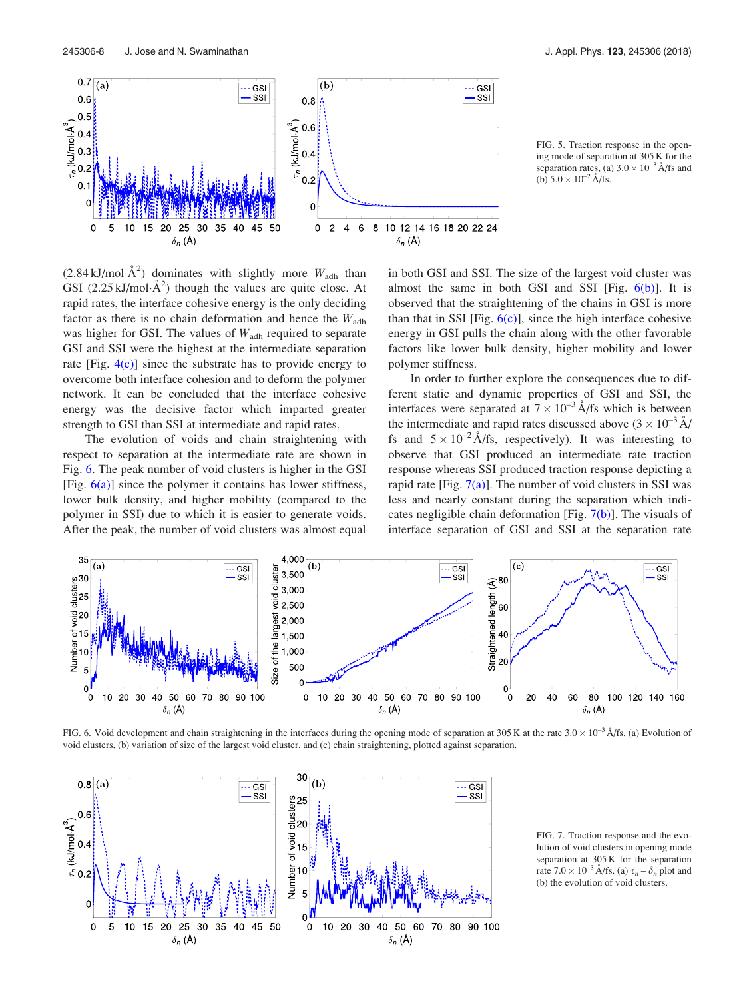

FIG. 5. Traction response in the opening mode of separation at 305 K for the separation rates, (a)  $3.0 \times 10^{-3}$  Å/fs and (b)  $5.0 \times 10^{-2}$  Å/fs.

 $(2.84 \text{ kJ/mol} \cdot \text{\AA}^2)$  dominates with slightly more  $W_{\text{adh}}$  than GSI (2.25 kJ/mol· $A^2$ ) though the values are quite close. At rapid rates, the interface cohesive energy is the only deciding factor as there is no chain deformation and hence the  $W_{\text{adh}}$ was higher for GSI. The values of  $W_{\text{adh}}$  required to separate GSI and SSI were the highest at the intermediate separation rate [Fig.  $4(c)$ ] since the substrate has to provide energy to overcome both interface cohesion and to deform the polymer network. It can be concluded that the interface cohesive energy was the decisive factor which imparted greater strength to GSI than SSI at intermediate and rapid rates.

The evolution of voids and chain straightening with respect to separation at the intermediate rate are shown in Fig. 6. The peak number of void clusters is higher in the GSI [Fig.  $6(a)$ ] since the polymer it contains has lower stiffness, lower bulk density, and higher mobility (compared to the polymer in SSI) due to which it is easier to generate voids. After the peak, the number of void clusters was almost equal in both GSI and SSI. The size of the largest void cluster was almost the same in both GSI and SSI [Fig.  $6(b)$ ]. It is observed that the straightening of the chains in GSI is more than that in SSI [Fig.  $6(c)$ ], since the high interface cohesive energy in GSI pulls the chain along with the other favorable factors like lower bulk density, higher mobility and lower polymer stiffness.

In order to further explore the consequences due to different static and dynamic properties of GSI and SSI, the interfaces were separated at  $7 \times 10^{-3}$  Å/fs which is between the intermediate and rapid rates discussed above  $(3 \times 10^{-3} \text{ Å})$ fs and  $5 \times 10^{-2}$  Å/fs, respectively). It was interesting to observe that GSI produced an intermediate rate traction response whereas SSI produced traction response depicting a rapid rate [Fig.  $7(a)$ ]. The number of void clusters in SSI was less and nearly constant during the separation which indicates negligible chain deformation [Fig. 7(b)]. The visuals of interface separation of GSI and SSI at the separation rate



FIG. 6. Void development and chain straightening in the interfaces during the opening mode of separation at 305 K at the rate  $3.0 \times 10^{-3}$  Å/fs. (a) Evolution of void clusters, (b) variation of size of the largest void cluster, and (c) chain straightening, plotted against separation.



FIG. 7. Traction response and the evolution of void clusters in opening mode separation at 305 K for the separation rate  $7.0 \times 10^{-3}$  Å/fs. (a)  $\tau_n - \delta_n$  plot and (b) the evolution of void clusters.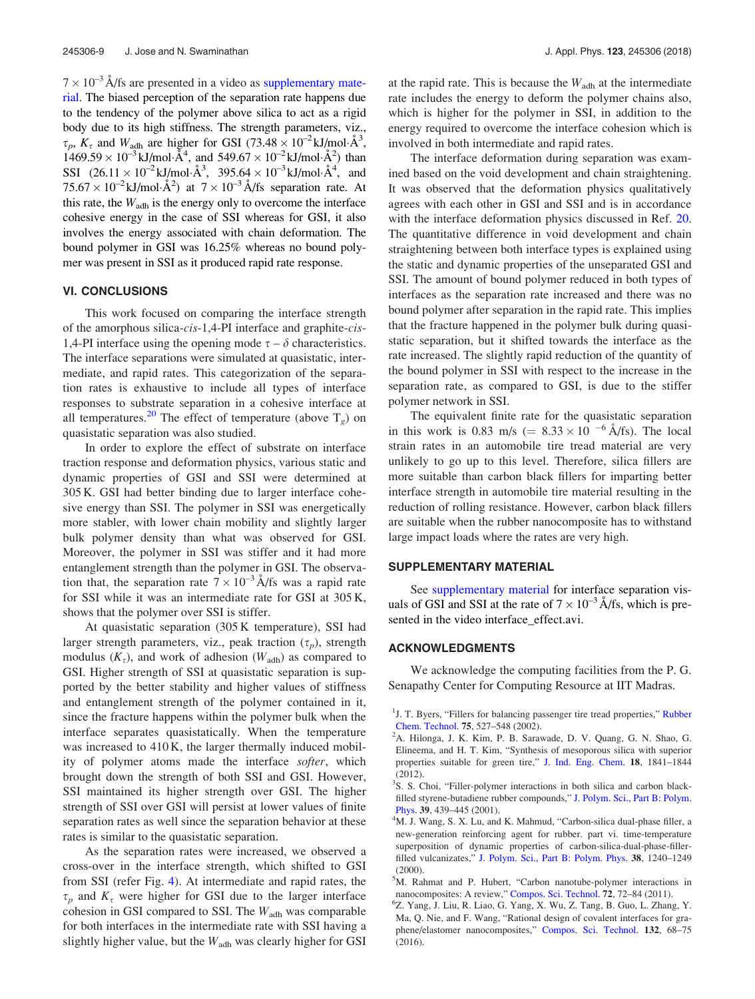$7 \times 10^{-3}$  Å/fs are presented in a video as supplementary material. The biased perception of the separation rate happens due to the tendency of the polymer above silica to act as a rigid body due to its high stiffness. The strength parameters, viz.,  $\tau_p$ ,  $K_{\tau}$  and  $W_{\text{adh}}$  are higher for GSI (73.48  $\times$  10<sup>-2</sup> kJ/mol·Å<sup>3</sup>,  $1469.59 \times 10^{-3}$  kJ/mol· $\AA^4$ , and  $549.67 \times 10^{-2}$  kJ/mol· $\AA^2$ ) than SSI  $(26.11 \times 10^{-2} \text{ kJ/mol} \cdot \text{\AA}^3, 395.64 \times 10^{-3} \text{ kJ/mol} \cdot \text{\AA}^4, \text{ and}$  $75.67 \times 10^{-2}$  kJ/mol·Å<sup>2</sup>) at  $7 \times 10^{-3}$  Å/fs separation rate. At this rate, the  $W_{\text{adh}}$  is the energy only to overcome the interface cohesive energy in the case of SSI whereas for GSI, it also involves the energy associated with chain deformation. The bound polymer in GSI was 16.25% whereas no bound polymer was present in SSI as it produced rapid rate response.

#### VI. CONCLUSIONS

This work focused on comparing the interface strength of the amorphous silica-cis-1,4-PI interface and graphite-cis-1,4-PI interface using the opening mode  $\tau - \delta$  characteristics. The interface separations were simulated at quasistatic, intermediate, and rapid rates. This categorization of the separation rates is exhaustive to include all types of interface responses to substrate separation in a cohesive interface at all temperatures.<sup>20</sup> The effect of temperature (above  $T_g$ ) on quasistatic separation was also studied.

In order to explore the effect of substrate on interface traction response and deformation physics, various static and dynamic properties of GSI and SSI were determined at 305 K. GSI had better binding due to larger interface cohesive energy than SSI. The polymer in SSI was energetically more stabler, with lower chain mobility and slightly larger bulk polymer density than what was observed for GSI. Moreover, the polymer in SSI was stiffer and it had more entanglement strength than the polymer in GSI. The observation that, the separation rate  $7 \times 10^{-3}$  Å/fs was a rapid rate for SSI while it was an intermediate rate for GSI at 305 K, shows that the polymer over SSI is stiffer.

At quasistatic separation (305 K temperature), SSI had larger strength parameters, viz., peak traction  $(\tau_p)$ , strength modulus  $(K_{\tau})$ , and work of adhesion  $(W_{\text{adh}})$  as compared to GSI. Higher strength of SSI at quasistatic separation is supported by the better stability and higher values of stiffness and entanglement strength of the polymer contained in it, since the fracture happens within the polymer bulk when the interface separates quasistatically. When the temperature was increased to 410 K, the larger thermally induced mobility of polymer atoms made the interface *softer*, which brought down the strength of both SSI and GSI. However, SSI maintained its higher strength over GSI. The higher strength of SSI over GSI will persist at lower values of finite separation rates as well since the separation behavior at these rates is similar to the quasistatic separation.

As the separation rates were increased, we observed a cross-over in the interface strength, which shifted to GSI from SSI (refer Fig. 4). At intermediate and rapid rates, the  $\tau_p$  and  $K_{\tau}$  were higher for GSI due to the larger interface cohesion in GSI compared to SSI. The  $W_{\text{adh}}$  was comparable for both interfaces in the intermediate rate with SSI having a slightly higher value, but the  $W_{\text{adh}}$  was clearly higher for GSI at the rapid rate. This is because the  $W<sub>adh</sub>$  at the intermediate rate includes the energy to deform the polymer chains also, which is higher for the polymer in SSI, in addition to the energy required to overcome the interface cohesion which is involved in both intermediate and rapid rates.

The interface deformation during separation was examined based on the void development and chain straightening. It was observed that the deformation physics qualitatively agrees with each other in GSI and SSI and is in accordance with the interface deformation physics discussed in Ref. 20. The quantitative difference in void development and chain straightening between both interface types is explained using the static and dynamic properties of the unseparated GSI and SSI. The amount of bound polymer reduced in both types of interfaces as the separation rate increased and there was no bound polymer after separation in the rapid rate. This implies that the fracture happened in the polymer bulk during quasistatic separation, but it shifted towards the interface as the rate increased. The slightly rapid reduction of the quantity of the bound polymer in SSI with respect to the increase in the separation rate, as compared to GSI, is due to the stiffer polymer network in SSI.

The equivalent finite rate for the quasistatic separation in this work is 0.83 m/s ( $= 8.33 \times 10^{-6}$  Å/fs). The local strain rates in an automobile tire tread material are very unlikely to go up to this level. Therefore, silica fillers are more suitable than carbon black fillers for imparting better interface strength in automobile tire material resulting in the reduction of rolling resistance. However, carbon black fillers are suitable when the rubber nanocomposite has to withstand large impact loads where the rates are very high.

#### SUPPLEMENTARY MATERIAL

See supplementary material for interface separation visuals of GSI and SSI at the rate of  $7 \times 10^{-3}$  Å/fs, which is presented in the video interface effect.avi.

#### ACKNOWLEDGMENTS

We acknowledge the computing facilities from the P. G. Senapathy Center for Computing Resource at IIT Madras.

<sup>&</sup>lt;sup>1</sup>J. T. Byers, "Fillers for balancing passenger tire tread properties," Rubber Chem. Technol. 75, 527–548 (2002).

<sup>&</sup>lt;sup>2</sup>A. Hilonga, J. K. Kim, P. B. Sarawade, D. V. Quang, G. N. Shao, G. Elineema, and H. T. Kim, "Synthesis of mesoporous silica with superior properties suitable for green tire," J. Ind. Eng. Chem. 18, 1841–1844 (2012).

<sup>&</sup>lt;sup>3</sup>S. S. Choi, "Filler-polymer interactions in both silica and carbon blackfilled styrene-butadiene rubber compounds," J. Polym. Sci., Part B: Polym. Phys. 39, 439–445 (2001).

<sup>&</sup>lt;sup>4</sup>M. J. Wang, S. X. Lu, and K. Mahmud, "Carbon-silica dual-phase filler, a new-generation reinforcing agent for rubber. part vi. time-temperature superposition of dynamic properties of carbon-silica-dual-phase-fillerfilled vulcanizates," J. Polym. Sci., Part B: Polym. Phys. 38, 1240–1249 (2000).

<sup>&</sup>lt;sup>5</sup>M. Rahmat and P. Hubert, "Carbon nanotube-polymer interactions in nanocomposites: A review," Compos. Sci. Technol. 72, 72–84 (2011).

<sup>6</sup> Z. Yang, J. Liu, R. Liao, G. Yang, X. Wu, Z. Tang, B. Guo, L. Zhang, Y. Ma, Q. Nie, and F. Wang, "Rational design of covalent interfaces for graphene/elastomer nanocomposites," Compos. Sci. Technol. 132, 68–75 (2016).